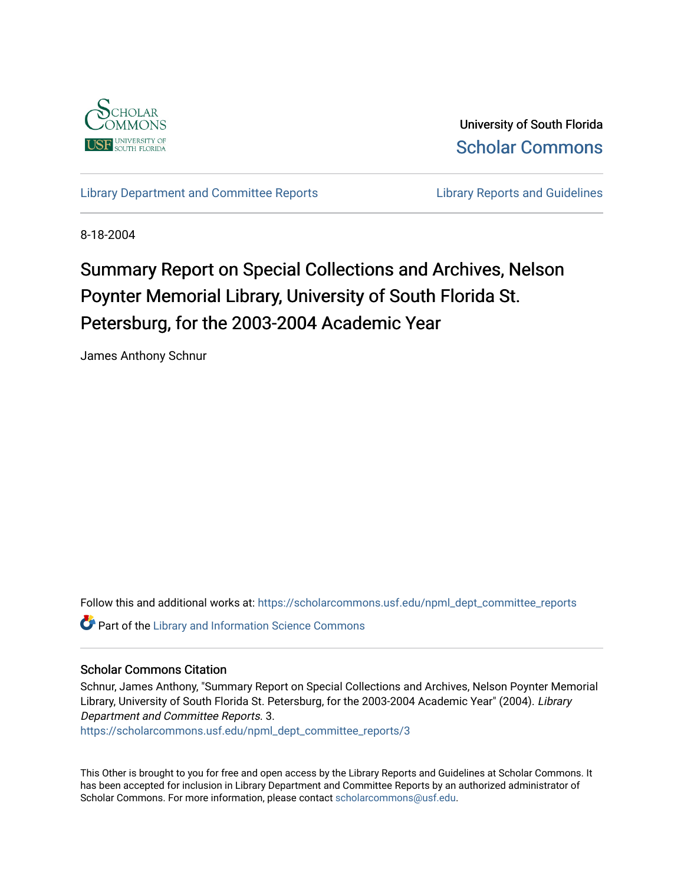

University of South Florida [Scholar Commons](https://scholarcommons.usf.edu/) 

[Library Department and Committee Reports](https://scholarcommons.usf.edu/npml_dept_committee_reports) **Library Reports and Guidelines** 

8-18-2004

# Summary Report on Special Collections and Archives, Nelson Poynter Memorial Library, University of South Florida St. Petersburg, for the 2003-2004 Academic Year

James Anthony Schnur

Follow this and additional works at: [https://scholarcommons.usf.edu/npml\\_dept\\_committee\\_reports](https://scholarcommons.usf.edu/npml_dept_committee_reports?utm_source=scholarcommons.usf.edu%2Fnpml_dept_committee_reports%2F3&utm_medium=PDF&utm_campaign=PDFCoverPages)

**Part of the Library and Information Science Commons** 

#### Scholar Commons Citation

Schnur, James Anthony, "Summary Report on Special Collections and Archives, Nelson Poynter Memorial Library, University of South Florida St. Petersburg, for the 2003-2004 Academic Year" (2004). Library Department and Committee Reports. 3.

[https://scholarcommons.usf.edu/npml\\_dept\\_committee\\_reports/3](https://scholarcommons.usf.edu/npml_dept_committee_reports/3?utm_source=scholarcommons.usf.edu%2Fnpml_dept_committee_reports%2F3&utm_medium=PDF&utm_campaign=PDFCoverPages)

This Other is brought to you for free and open access by the Library Reports and Guidelines at Scholar Commons. It has been accepted for inclusion in Library Department and Committee Reports by an authorized administrator of Scholar Commons. For more information, please contact [scholarcommons@usf.edu](mailto:scholarcommons@usf.edu).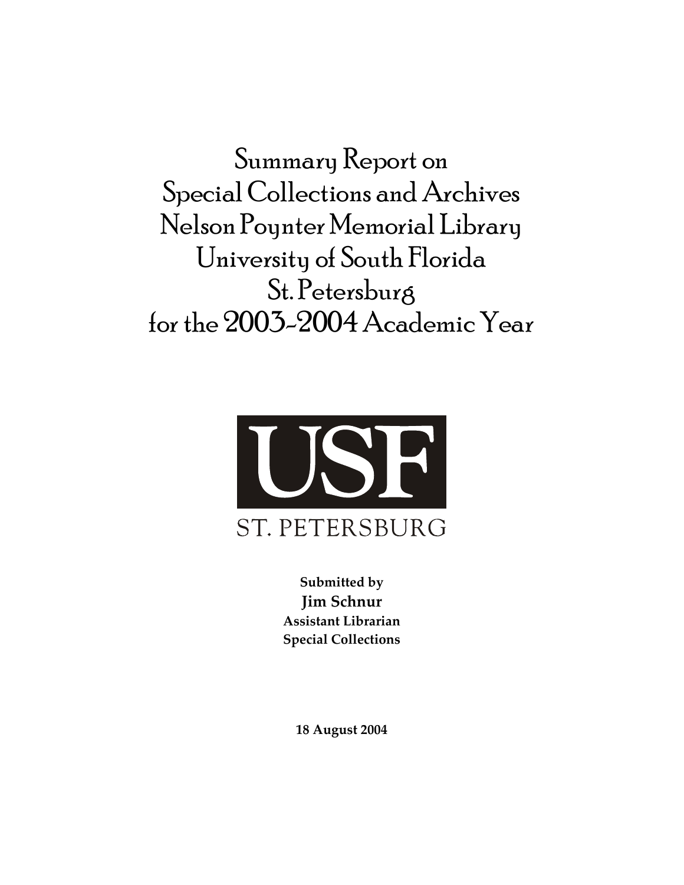Summary Report on Special Collections and Archives Nelson Poynter Memorial Library University of South Florida St. Petersburg for the 2003-2004 Academic Year



**Submitted by Jim Schnur Assistant Librarian Special Collections**

**18 August 2004**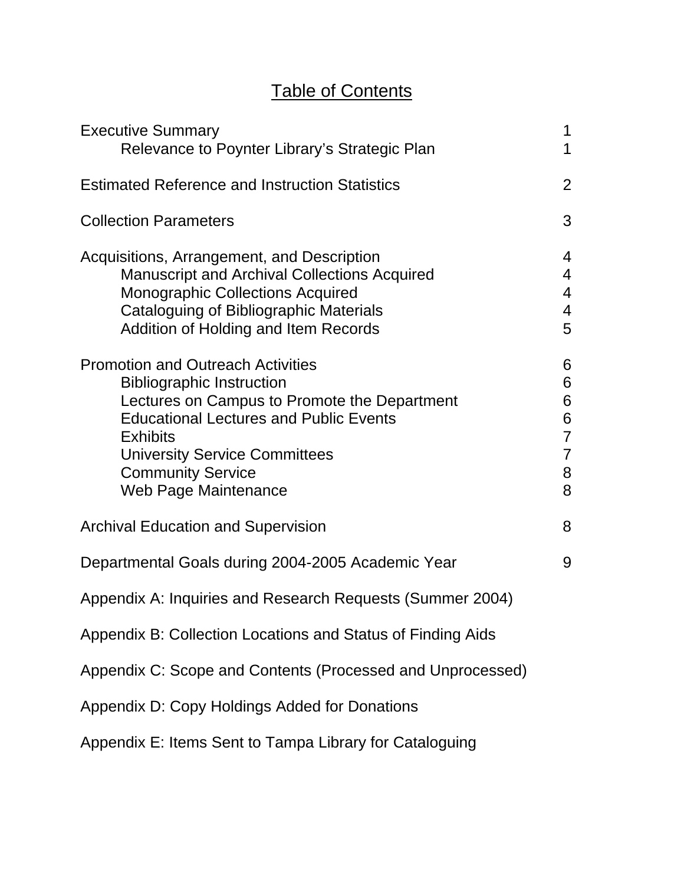# Table of Contents

| <b>Executive Summary</b><br>Relevance to Poynter Library's Strategic Plan                                                                                                                                                                                                                    | 1<br>1                                                         |
|----------------------------------------------------------------------------------------------------------------------------------------------------------------------------------------------------------------------------------------------------------------------------------------------|----------------------------------------------------------------|
| <b>Estimated Reference and Instruction Statistics</b>                                                                                                                                                                                                                                        | $\overline{2}$                                                 |
| <b>Collection Parameters</b>                                                                                                                                                                                                                                                                 | 3                                                              |
| Acquisitions, Arrangement, and Description<br>Manuscript and Archival Collections Acquired<br><b>Monographic Collections Acquired</b><br>Cataloguing of Bibliographic Materials<br>Addition of Holding and Item Records                                                                      | 4<br>$\overline{4}$<br>$\overline{4}$<br>4<br>5                |
| <b>Promotion and Outreach Activities</b><br><b>Bibliographic Instruction</b><br>Lectures on Campus to Promote the Department<br><b>Educational Lectures and Public Events</b><br><b>Exhibits</b><br><b>University Service Committees</b><br><b>Community Service</b><br>Web Page Maintenance | 6<br>6<br>6<br>6<br>$\overline{7}$<br>$\overline{7}$<br>8<br>8 |
| <b>Archival Education and Supervision</b>                                                                                                                                                                                                                                                    | 8                                                              |
| Departmental Goals during 2004-2005 Academic Year                                                                                                                                                                                                                                            | 9                                                              |
| Appendix A: Inquiries and Research Requests (Summer 2004)                                                                                                                                                                                                                                    |                                                                |
| Appendix B: Collection Locations and Status of Finding Aids                                                                                                                                                                                                                                  |                                                                |
| Appendix C: Scope and Contents (Processed and Unprocessed)                                                                                                                                                                                                                                   |                                                                |
| Appendix D: Copy Holdings Added for Donations                                                                                                                                                                                                                                                |                                                                |
| Appendix E: Items Sent to Tampa Library for Cataloguing                                                                                                                                                                                                                                      |                                                                |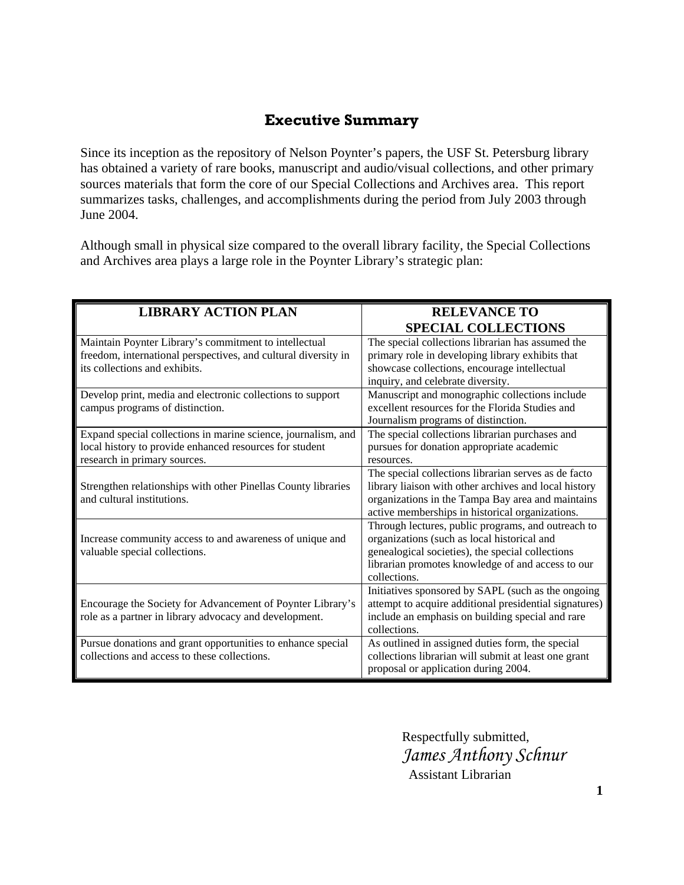### **Executive Summary**

Since its inception as the repository of Nelson Poynter's papers, the USF St. Petersburg library has obtained a variety of rare books, manuscript and audio/visual collections, and other primary sources materials that form the core of our Special Collections and Archives area. This report summarizes tasks, challenges, and accomplishments during the period from July 2003 through June 2004.

Although small in physical size compared to the overall library facility, the Special Collections and Archives area plays a large role in the Poynter Library's strategic plan:

| <b>LIBRARY ACTION PLAN</b>                                                                                                                               | <b>RELEVANCE TO</b>                                                                                                                                                                                                        |  |
|----------------------------------------------------------------------------------------------------------------------------------------------------------|----------------------------------------------------------------------------------------------------------------------------------------------------------------------------------------------------------------------------|--|
|                                                                                                                                                          | <b>SPECIAL COLLECTIONS</b>                                                                                                                                                                                                 |  |
| Maintain Poynter Library's commitment to intellectual<br>freedom, international perspectives, and cultural diversity in<br>its collections and exhibits. | The special collections librarian has assumed the<br>primary role in developing library exhibits that<br>showcase collections, encourage intellectual<br>inquiry, and celebrate diversity.                                 |  |
| Develop print, media and electronic collections to support<br>campus programs of distinction.                                                            | Manuscript and monographic collections include<br>excellent resources for the Florida Studies and<br>Journalism programs of distinction.                                                                                   |  |
| Expand special collections in marine science, journalism, and<br>local history to provide enhanced resources for student<br>research in primary sources. | The special collections librarian purchases and<br>pursues for donation appropriate academic<br>resources.                                                                                                                 |  |
| Strengthen relationships with other Pinellas County libraries<br>and cultural institutions.                                                              | The special collections librarian serves as de facto<br>library liaison with other archives and local history<br>organizations in the Tampa Bay area and maintains<br>active memberships in historical organizations.      |  |
| Increase community access to and awareness of unique and<br>valuable special collections.                                                                | Through lectures, public programs, and outreach to<br>organizations (such as local historical and<br>genealogical societies), the special collections<br>librarian promotes knowledge of and access to our<br>collections. |  |
| Encourage the Society for Advancement of Poynter Library's<br>role as a partner in library advocacy and development.                                     | Initiatives sponsored by SAPL (such as the ongoing<br>attempt to acquire additional presidential signatures)<br>include an emphasis on building special and rare<br>collections.                                           |  |
| Pursue donations and grant opportunities to enhance special<br>collections and access to these collections.                                              | As outlined in assigned duties form, the special<br>collections librarian will submit at least one grant<br>proposal or application during 2004.                                                                           |  |

 Respectfully submitted,  *James Anthony Schnur*  Assistant Librarian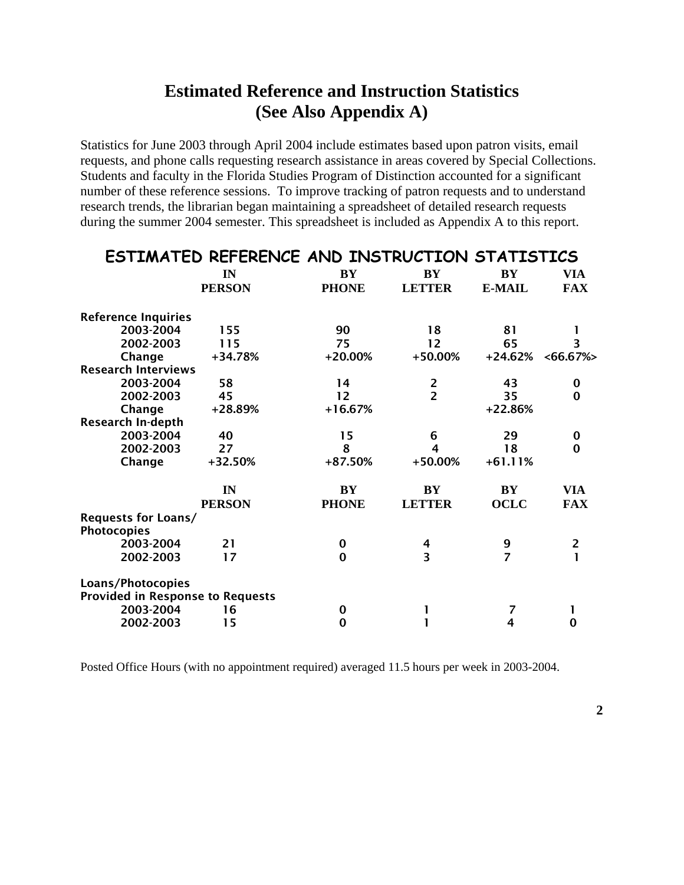### **Estimated Reference and Instruction Statistics (See Also Appendix A)**

Statistics for June 2003 through April 2004 include estimates based upon patron visits, email requests, and phone calls requesting research assistance in areas covered by Special Collections. Students and faculty in the Florida Studies Program of Distinction accounted for a significant number of these reference sessions. To improve tracking of patron requests and to understand research trends, the librarian began maintaining a spreadsheet of detailed research requests during the summer 2004 semester. This spreadsheet is included as Appendix A to this report.

|                                                              | ESTIMATED REFERENCE AND INSTRUCTION STATISTICS |              |                        |                        |             |
|--------------------------------------------------------------|------------------------------------------------|--------------|------------------------|------------------------|-------------|
|                                                              | IN                                             | <b>BY</b>    | BY                     | BY                     | VIA         |
|                                                              | <b>PERSON</b>                                  | <b>PHONE</b> | <b>LETTER</b>          | <b>E-MAIL</b>          | <b>FAX</b>  |
| <b>Reference Inquiries</b>                                   |                                                |              |                        |                        |             |
| 2003-2004                                                    | 155                                            | 90           | 18                     | 81                     |             |
| 2002-2003                                                    | 115                                            | 75           | 12                     | 65                     | 3           |
| Change                                                       | $+34.78%$                                      | $+20.00%$    | $+50.00%$              | $+24.62%$              | $<66.67\%>$ |
| <b>Research Interviews</b>                                   |                                                |              |                        |                        |             |
| 2003-2004                                                    | 58                                             | 14           | $\overline{2}$         | 43                     | 0           |
| 2002-2003                                                    | 45                                             | 12           | $\overline{2}$         | 35                     | 0           |
| Change                                                       | +28.89%                                        | $+16.67%$    |                        | $+22.86%$              |             |
| <b>Research In-depth</b>                                     |                                                |              |                        |                        |             |
| 2003-2004                                                    | 40                                             | 15           | 6                      | 29                     | $\bf{0}$    |
| 2002-2003                                                    | 27                                             | 8            | 4                      | 18                     | 0           |
| Change                                                       | $+32.50%$                                      | $+87.50%$    | $+50.00%$              | $+61.11%$              |             |
|                                                              | IN                                             | <b>BY</b>    | $\mathbf{B}\mathbf{Y}$ | $\mathbf{B}\mathbf{Y}$ | VIA         |
|                                                              | <b>PERSON</b>                                  | <b>PHONE</b> | <b>LETTER</b>          | <b>OCLC</b>            | <b>FAX</b>  |
| <b>Requests for Loans/</b><br><b>Photocopies</b>             |                                                |              |                        |                        |             |
| 2003-2004                                                    | 21                                             | $\Omega$     | 4                      | 9                      | 2           |
| 2002-2003                                                    | 17                                             | $\Omega$     | 3                      | $\overline{z}$         |             |
| Loans/Photocopies<br><b>Provided in Response to Requests</b> |                                                |              |                        |                        |             |
| 2003-2004                                                    | 16                                             | 0            |                        | 7                      |             |
| 2002-2003                                                    | 15                                             | $\Omega$     |                        | 4                      | 0           |

Posted Office Hours (with no appointment required) averaged 11.5 hours per week in 2003-2004.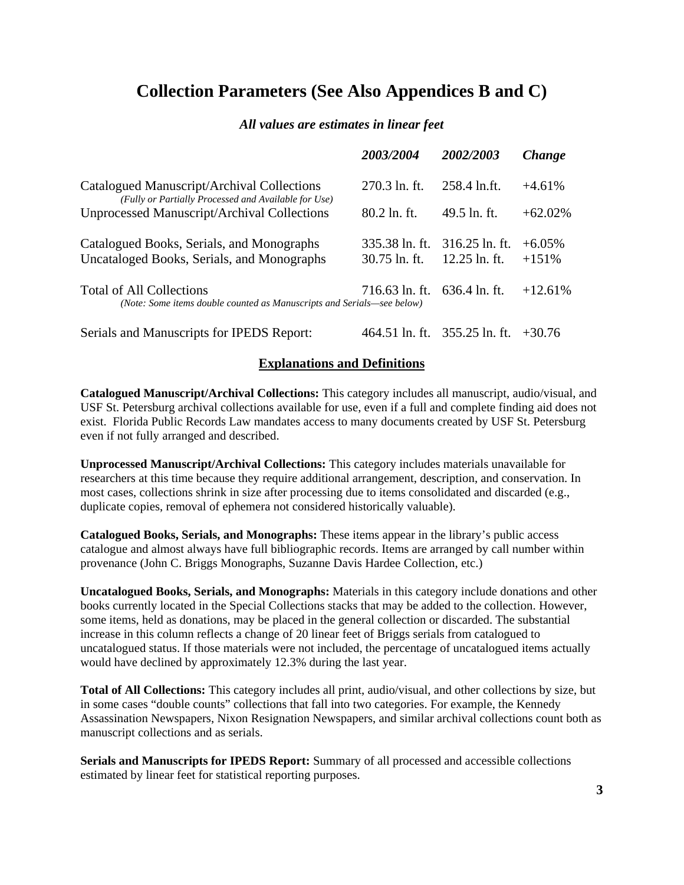### **Collection Parameters (See Also Appendices B and C)**

#### *All values are estimates in linear feet*

|                                                                                                           | <i><b>2003/2004</b></i>           | 2002/2003                           | Change               |
|-----------------------------------------------------------------------------------------------------------|-----------------------------------|-------------------------------------|----------------------|
| Catalogued Manuscript/Archival Collections<br>(Fully or Partially Processed and Available for Use)        | 270.3 ln. ft.                     | 258.4 ln.ft.                        | $+4.61%$             |
| Unprocessed Manuscript/Archival Collections                                                               | $80.2 \ln f$ . ft.                | $49.5$ ln, ft,                      | $+62.02\%$           |
| Catalogued Books, Serials, and Monographs<br>Uncataloged Books, Serials, and Monographs                   | 335.38 ln. ft.<br>$30.75$ ln. ft. | $316.25$ ln. ft.<br>$12.25$ ln. ft. | $+6.05\%$<br>$+151%$ |
| <b>Total of All Collections</b><br>(Note: Some items double counted as Manuscripts and Serials—see below) | 716.63 ln. ft.                    | 636.4 ln. ft.                       | $+12.61\%$           |
| Serials and Manuscripts for IPEDS Report:                                                                 |                                   | 464.51 ln. ft. 355.25 ln. ft.       | $+30.76$             |

#### **Explanations and Definitions**

**Catalogued Manuscript/Archival Collections:** This category includes all manuscript, audio/visual, and USF St. Petersburg archival collections available for use, even if a full and complete finding aid does not exist. Florida Public Records Law mandates access to many documents created by USF St. Petersburg even if not fully arranged and described.

**Unprocessed Manuscript/Archival Collections:** This category includes materials unavailable for researchers at this time because they require additional arrangement, description, and conservation. In most cases, collections shrink in size after processing due to items consolidated and discarded (e.g., duplicate copies, removal of ephemera not considered historically valuable).

**Catalogued Books, Serials, and Monographs:** These items appear in the library's public access catalogue and almost always have full bibliographic records. Items are arranged by call number within provenance (John C. Briggs Monographs, Suzanne Davis Hardee Collection, etc.)

**Uncatalogued Books, Serials, and Monographs:** Materials in this category include donations and other books currently located in the Special Collections stacks that may be added to the collection. However, some items, held as donations, may be placed in the general collection or discarded. The substantial increase in this column reflects a change of 20 linear feet of Briggs serials from catalogued to uncatalogued status. If those materials were not included, the percentage of uncatalogued items actually would have declined by approximately 12.3% during the last year.

**Total of All Collections:** This category includes all print, audio/visual, and other collections by size, but in some cases "double counts" collections that fall into two categories. For example, the Kennedy Assassination Newspapers, Nixon Resignation Newspapers, and similar archival collections count both as manuscript collections and as serials.

**Serials and Manuscripts for IPEDS Report:** Summary of all processed and accessible collections estimated by linear feet for statistical reporting purposes.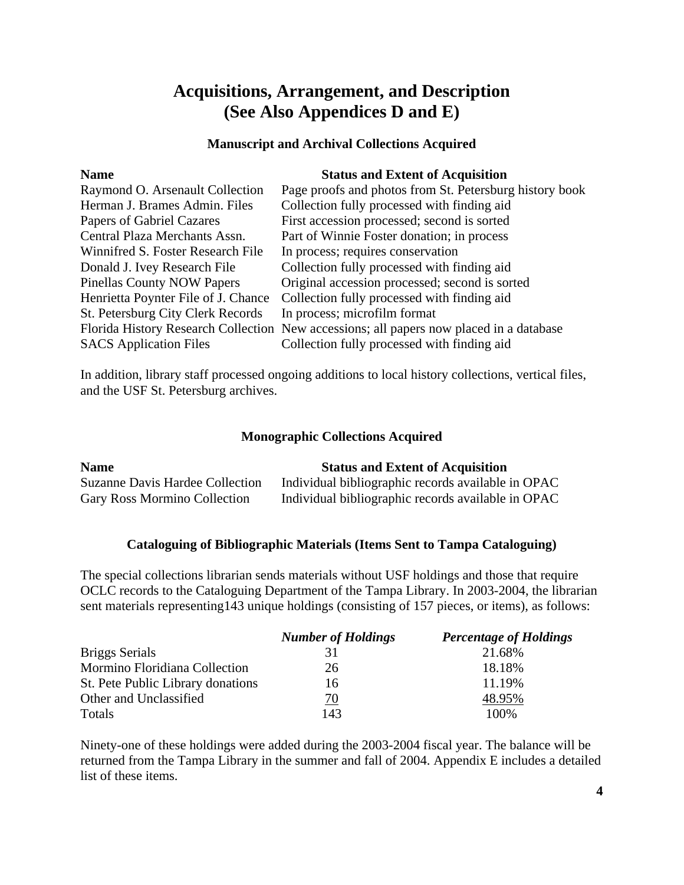### **Acquisitions, Arrangement, and Description (See Also Appendices D and E)**

### **Manuscript and Archival Collections Acquired**

| <b>Name</b>                              | <b>Status and Extent of Acquisition</b>                                                 |
|------------------------------------------|-----------------------------------------------------------------------------------------|
| Raymond O. Arsenault Collection          | Page proofs and photos from St. Petersburg history book                                 |
| Herman J. Brames Admin. Files            | Collection fully processed with finding aid                                             |
| Papers of Gabriel Cazares                | First accession processed; second is sorted                                             |
| Central Plaza Merchants Assn.            | Part of Winnie Foster donation; in process                                              |
| Winnifred S. Foster Research File        | In process; requires conservation                                                       |
| Donald J. Ivey Research File             | Collection fully processed with finding aid                                             |
| <b>Pinellas County NOW Papers</b>        | Original accession processed; second is sorted                                          |
| Henrietta Poynter File of J. Chance      | Collection fully processed with finding aid                                             |
| <b>St. Petersburg City Clerk Records</b> | In process; microfilm format                                                            |
|                                          | Florida History Research Collection New accessions; all papers now placed in a database |
| <b>SACS</b> Application Files            | Collection fully processed with finding aid                                             |

In addition, library staff processed ongoing additions to local history collections, vertical files, and the USF St. Petersburg archives.

### **Monographic Collections Acquired**

| <b>Name</b>                            | <b>Status and Extent of Acquisition</b>            |
|----------------------------------------|----------------------------------------------------|
| <b>Suzanne Davis Hardee Collection</b> | Individual bibliographic records available in OPAC |
| <b>Gary Ross Mormino Collection</b>    | Individual bibliographic records available in OPAC |

### **Cataloguing of Bibliographic Materials (Items Sent to Tampa Cataloguing)**

The special collections librarian sends materials without USF holdings and those that require OCLC records to the Cataloguing Department of the Tampa Library. In 2003-2004, the librarian sent materials representing143 unique holdings (consisting of 157 pieces, or items), as follows:

|                                   | <b>Number of Holdings</b> | <b>Percentage of Holdings</b> |
|-----------------------------------|---------------------------|-------------------------------|
| <b>Briggs Serials</b>             | 31                        | 21.68%                        |
| Mormino Floridiana Collection     | 26                        | 18.18%                        |
| St. Pete Public Library donations | 16                        | 11.19%                        |
| Other and Unclassified            | 70                        | 48.95%                        |
| Totals                            | 143                       | 100\%                         |

Ninety-one of these holdings were added during the 2003-2004 fiscal year. The balance will be returned from the Tampa Library in the summer and fall of 2004. Appendix E includes a detailed list of these items.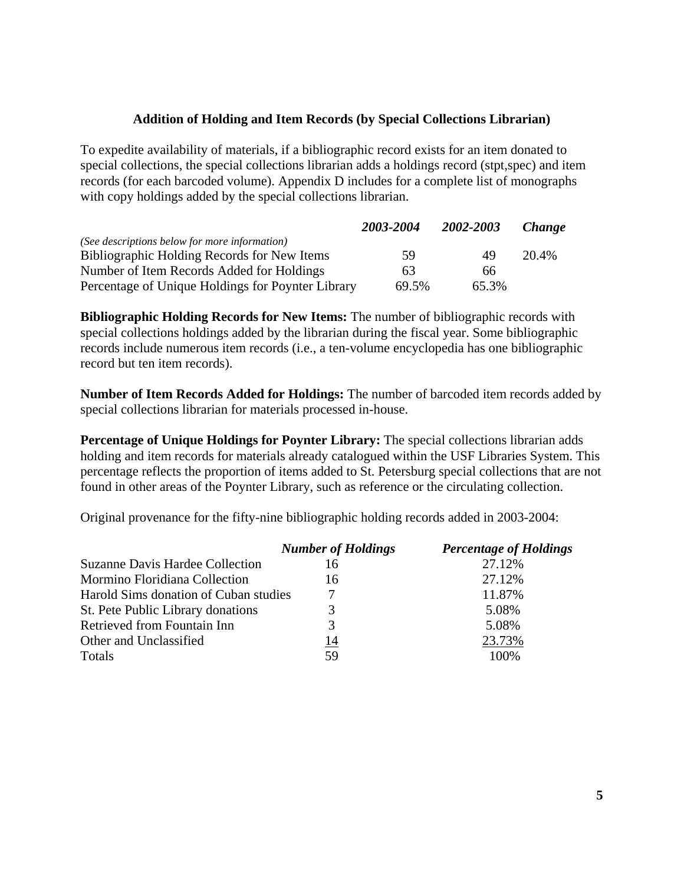### **Addition of Holding and Item Records (by Special Collections Librarian)**

To expedite availability of materials, if a bibliographic record exists for an item donated to special collections, the special collections librarian adds a holdings record (stpt,spec) and item records (for each barcoded volume). Appendix D includes for a complete list of monographs with copy holdings added by the special collections librarian.

|                                                   | 2003-2004 | 2002-2003 | <i>Change</i> |
|---------------------------------------------------|-----------|-----------|---------------|
| (See descriptions below for more information)     |           |           |               |
| Bibliographic Holding Records for New Items       | 59        | 49        | 20.4%         |
| Number of Item Records Added for Holdings         | 63        | 66        |               |
| Percentage of Unique Holdings for Poynter Library | 69.5%     | 65.3%     |               |

**Bibliographic Holding Records for New Items:** The number of bibliographic records with special collections holdings added by the librarian during the fiscal year. Some bibliographic records include numerous item records (i.e., a ten-volume encyclopedia has one bibliographic record but ten item records).

**Number of Item Records Added for Holdings:** The number of barcoded item records added by special collections librarian for materials processed in-house.

**Percentage of Unique Holdings for Poynter Library:** The special collections librarian adds holding and item records for materials already catalogued within the USF Libraries System. This percentage reflects the proportion of items added to St. Petersburg special collections that are not found in other areas of the Poynter Library, such as reference or the circulating collection.

Original provenance for the fifty-nine bibliographic holding records added in 2003-2004:

|                                        | <b>Number of Holdings</b> | <b>Percentage of Holdings</b> |
|----------------------------------------|---------------------------|-------------------------------|
| <b>Suzanne Davis Hardee Collection</b> | 16                        | 27.12%                        |
| Mormino Floridiana Collection          | 16                        | 27.12\%                       |
| Harold Sims donation of Cuban studies  |                           | 11.87%                        |
| St. Pete Public Library donations      | 3                         | 5.08%                         |
| Retrieved from Fountain Inn            | 3                         | 5.08%                         |
| Other and Unclassified                 | 14                        | 23.73%                        |
| Totals                                 | 59                        | 100%                          |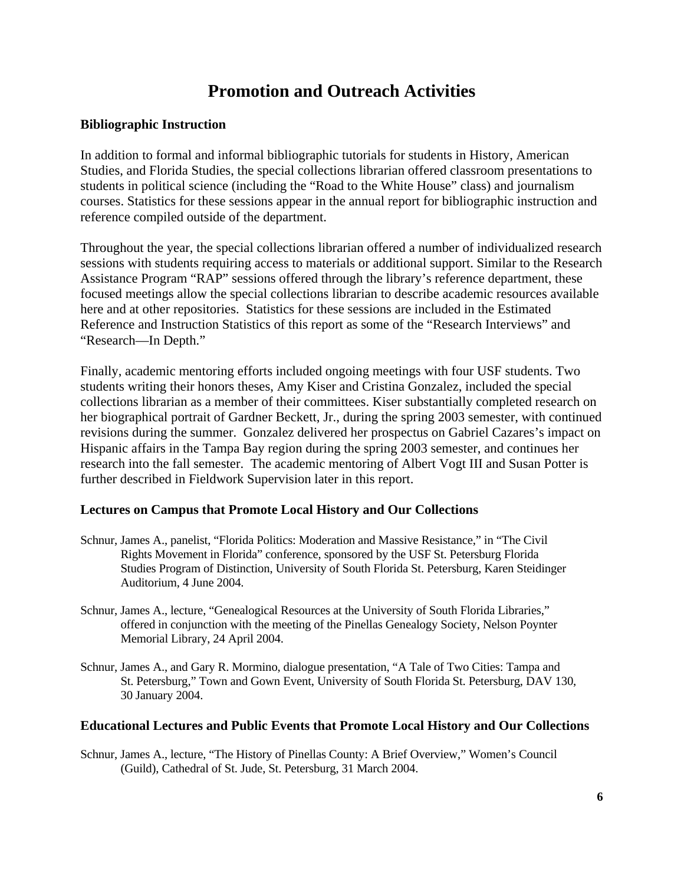### **Promotion and Outreach Activities**

### **Bibliographic Instruction**

In addition to formal and informal bibliographic tutorials for students in History, American Studies, and Florida Studies, the special collections librarian offered classroom presentations to students in political science (including the "Road to the White House" class) and journalism courses. Statistics for these sessions appear in the annual report for bibliographic instruction and reference compiled outside of the department.

Throughout the year, the special collections librarian offered a number of individualized research sessions with students requiring access to materials or additional support. Similar to the Research Assistance Program "RAP" sessions offered through the library's reference department, these focused meetings allow the special collections librarian to describe academic resources available here and at other repositories. Statistics for these sessions are included in the Estimated Reference and Instruction Statistics of this report as some of the "Research Interviews" and "Research—In Depth."

Finally, academic mentoring efforts included ongoing meetings with four USF students. Two students writing their honors theses, Amy Kiser and Cristina Gonzalez, included the special collections librarian as a member of their committees. Kiser substantially completed research on her biographical portrait of Gardner Beckett, Jr., during the spring 2003 semester, with continued revisions during the summer. Gonzalez delivered her prospectus on Gabriel Cazares's impact on Hispanic affairs in the Tampa Bay region during the spring 2003 semester, and continues her research into the fall semester. The academic mentoring of Albert Vogt III and Susan Potter is further described in Fieldwork Supervision later in this report.

### **Lectures on Campus that Promote Local History and Our Collections**

- Schnur, James A., panelist, "Florida Politics: Moderation and Massive Resistance," in "The Civil Rights Movement in Florida" conference, sponsored by the USF St. Petersburg Florida Studies Program of Distinction, University of South Florida St. Petersburg, Karen Steidinger Auditorium, 4 June 2004.
- Schnur, James A., lecture, "Genealogical Resources at the University of South Florida Libraries," offered in conjunction with the meeting of the Pinellas Genealogy Society, Nelson Poynter Memorial Library, 24 April 2004.
- Schnur, James A., and Gary R. Mormino, dialogue presentation, "A Tale of Two Cities: Tampa and St. Petersburg," Town and Gown Event, University of South Florida St. Petersburg, DAV 130, 30 January 2004.

#### **Educational Lectures and Public Events that Promote Local History and Our Collections**

Schnur, James A., lecture, "The History of Pinellas County: A Brief Overview," Women's Council (Guild), Cathedral of St. Jude, St. Petersburg, 31 March 2004.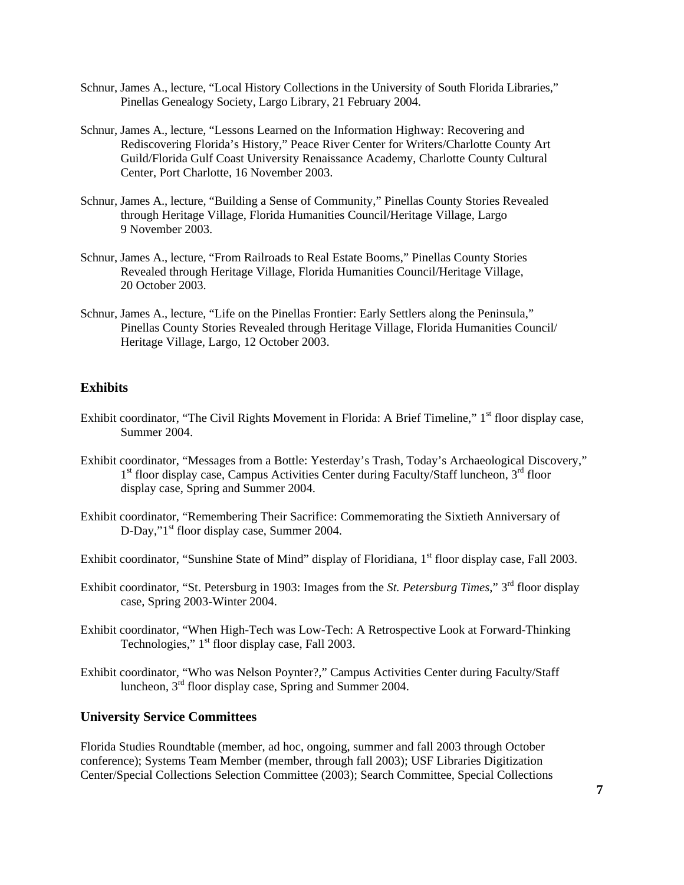- Schnur, James A., lecture, "Local History Collections in the University of South Florida Libraries," Pinellas Genealogy Society, Largo Library, 21 February 2004.
- Schnur, James A., lecture, "Lessons Learned on the Information Highway: Recovering and Rediscovering Florida's History," Peace River Center for Writers/Charlotte County Art Guild/Florida Gulf Coast University Renaissance Academy, Charlotte County Cultural Center, Port Charlotte, 16 November 2003.
- Schnur, James A., lecture, "Building a Sense of Community," Pinellas County Stories Revealed through Heritage Village, Florida Humanities Council/Heritage Village, Largo 9 November 2003.
- Schnur, James A., lecture, "From Railroads to Real Estate Booms," Pinellas County Stories Revealed through Heritage Village, Florida Humanities Council/Heritage Village, 20 October 2003.
- Schnur, James A., lecture, "Life on the Pinellas Frontier: Early Settlers along the Peninsula," Pinellas County Stories Revealed through Heritage Village, Florida Humanities Council/ Heritage Village, Largo, 12 October 2003.

#### **Exhibits**

- Exhibit coordinator, "The Civil Rights Movement in Florida: A Brief Timeline," 1<sup>st</sup> floor display case, Summer 2004.
- Exhibit coordinator, "Messages from a Bottle: Yesterday's Trash, Today's Archaeological Discovery,"  $1<sup>st</sup>$  floor display case, Campus Activities Center during Faculty/Staff luncheon,  $3<sup>rd</sup>$  floor display case, Spring and Summer 2004.
- Exhibit coordinator, "Remembering Their Sacrifice: Commemorating the Sixtieth Anniversary of D-Day,"1<sup>st</sup> floor display case, Summer 2004.
- Exhibit coordinator, "Sunshine State of Mind" display of Floridiana, 1<sup>st</sup> floor display case, Fall 2003.
- Exhibit coordinator, "St. Petersburg in 1903: Images from the *St. Petersburg Times*," 3rd floor display case, Spring 2003-Winter 2004.
- Exhibit coordinator, "When High-Tech was Low-Tech: A Retrospective Look at Forward-Thinking Technologies,"  $1<sup>st</sup>$  floor display case, Fall 2003.
- Exhibit coordinator, "Who was Nelson Poynter?," Campus Activities Center during Faculty/Staff luncheon,  $3<sup>rd</sup>$  floor display case, Spring and Summer 2004.

#### **University Service Committees**

Florida Studies Roundtable (member, ad hoc, ongoing, summer and fall 2003 through October conference); Systems Team Member (member, through fall 2003); USF Libraries Digitization Center/Special Collections Selection Committee (2003); Search Committee, Special Collections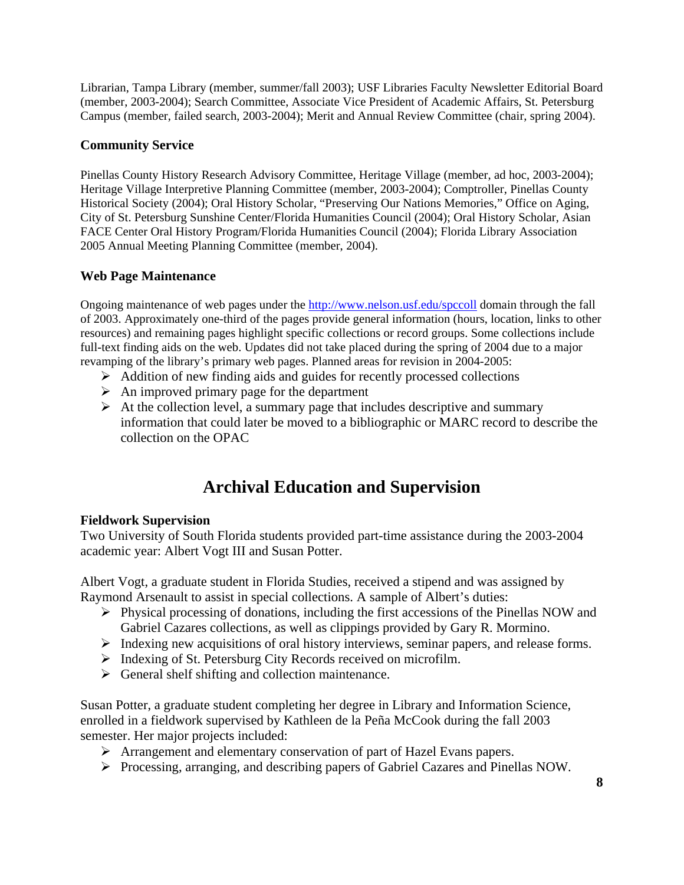Librarian, Tampa Library (member, summer/fall 2003); USF Libraries Faculty Newsletter Editorial Board (member, 2003-2004); Search Committee, Associate Vice President of Academic Affairs, St. Petersburg Campus (member, failed search, 2003-2004); Merit and Annual Review Committee (chair, spring 2004).

### **Community Service**

Pinellas County History Research Advisory Committee, Heritage Village (member, ad hoc, 2003-2004); Heritage Village Interpretive Planning Committee (member, 2003-2004); Comptroller, Pinellas County Historical Society (2004); Oral History Scholar, "Preserving Our Nations Memories," Office on Aging, City of St. Petersburg Sunshine Center/Florida Humanities Council (2004); Oral History Scholar, Asian FACE Center Oral History Program/Florida Humanities Council (2004); Florida Library Association 2005 Annual Meeting Planning Committee (member, 2004).

### **Web Page Maintenance**

Ongoing maintenance of web pages under the http://www.nelson.usf.edu/spccoll domain through the fall of 2003. Approximately one-third of the pages provide general information (hours, location, links to other resources) and remaining pages highlight specific collections or record groups. Some collections include full-text finding aids on the web. Updates did not take placed during the spring of 2004 due to a major revamping of the library's primary web pages. Planned areas for revision in 2004-2005:

- $\triangleright$  Addition of new finding aids and guides for recently processed collections
- $\triangleright$  An improved primary page for the department
- $\triangleright$  At the collection level, a summary page that includes descriptive and summary information that could later be moved to a bibliographic or MARC record to describe the collection on the OPAC

## **Archival Education and Supervision**

### **Fieldwork Supervision**

Two University of South Florida students provided part-time assistance during the 2003-2004 academic year: Albert Vogt III and Susan Potter.

Albert Vogt, a graduate student in Florida Studies, received a stipend and was assigned by Raymond Arsenault to assist in special collections. A sample of Albert's duties:

- Physical processing of donations, including the first accessions of the Pinellas NOW and Gabriel Cazares collections, as well as clippings provided by Gary R. Mormino.
- Indexing new acquisitions of oral history interviews, seminar papers, and release forms.
- $\triangleright$  Indexing of St. Petersburg City Records received on microfilm.
- $\triangleright$  General shelf shifting and collection maintenance.

Susan Potter, a graduate student completing her degree in Library and Information Science, enrolled in a fieldwork supervised by Kathleen de la Peña McCook during the fall 2003 semester. Her major projects included:

- Arrangement and elementary conservation of part of Hazel Evans papers.
- Processing, arranging, and describing papers of Gabriel Cazares and Pinellas NOW.